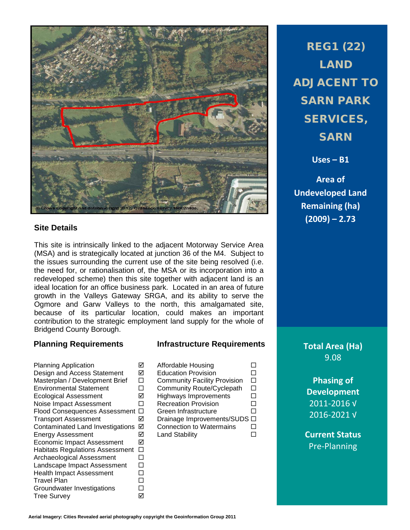

## **Site Details**

This site is intrinsically linked to the adjacent Motorway Service Area (MSA) and is strategically located at junction 36 of the M4. Subject to the issues surrounding the current use of the site being resolved (i.e. the need for, or rationalisation of, the MSA or its incorporation into a redeveloped scheme) then this site together with adjacent land is an ideal location for an office business park. Located in an area of future growth in the Valleys Gateway SRGA, and its ability to serve the Ogmore and Garw Valleys to the north, this amalgamated site, because of its particular location, could makes an important contribution to the strategic employment land supply for the whole of Bridgend County Borough.

Planning Application  $\Box$ Design and Access Statement  $\boxtimes$ Masterplan / Development Brief  $\Box$ <br>Fovironmental Statement  $\Box$ Environmental Statement Ecological Assessment  $\boxtimes$ Noise Impact Assessment  $\Box$ Flood Consequences Assessment  $\Box$ Transport Assessment  $\boxtimes$ Contaminated Land Investigations Ø<br>Energy Assessment Energy Assessment Land Stability Economic Impact Assessment Habitats Regulations Assessment  $\Box$ Archaeological Assessment  $\Box$ Landscape Impact Assessment  $\Box$ <br>Health Impact Assessment  $\Box$ Health Impact Assessment  $\square$ <br>Travel Plan Travel Plan Groundwater Investigations  $\Box$ Tree Survey

## **Planning Requirements Infrastructure Requirements**

| <b>Affordable Housing</b>           |  |
|-------------------------------------|--|
| <b>Education Provision</b>          |  |
| <b>Community Facility Provision</b> |  |
| Community Route/Cyclepath           |  |
| <b>Highways Improvements</b>        |  |
| <b>Recreation Provision</b>         |  |
| Green Infrastructure                |  |
| Drainage Improvements/SUDS □        |  |
| <b>Connection to Watermains</b>     |  |
| <b>Land Stability</b>               |  |
|                                     |  |

REG1 (22) LAND ADJACENT TO SARN PARK SERVICES, SARN

**Uses – B1**

**Area of Undeveloped Land Remaining (ha) (2009) – 2.73**

**Total Area (Ha)** 9.08

> **Phasing of Development** 2011-2016 √ 2016-2021 √

**Current Status** Pre-Planning